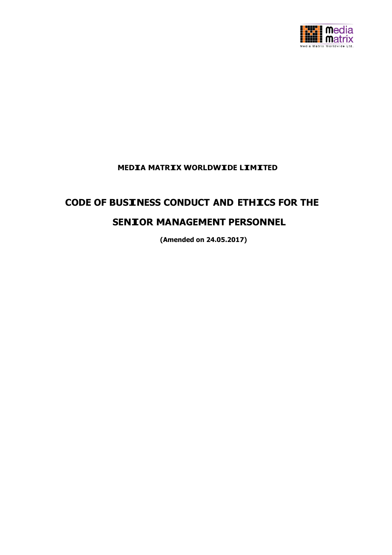

## **MEDIA MATRIX WORLDWIDE LIMITED**

# **CODE OF BUSINESS CONDUCT AND ETHICS FOR THE SENIOR MANAGEMENT PERSONNEL**

**(Amended on 24.05.2017)**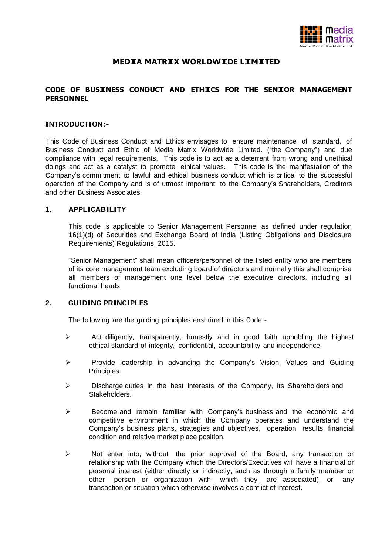

## **MEDIA MATRIX WORLDWIDE LIMITED**

#### **CODE OF BUSINESS CONDUCT AND ETHICS FOR THE SENIOR MANAGEMENT PERSONNEL**

#### **INTRODUCTION:-**

This Code of Business Conduct and Ethics envisages to ensure maintenance of standard, of Business Conduct and Ethic of Media Matrix Worldwide Limited. ("the Company") and due compliance with legal requirements. This code is to act as a deterrent from wrong and unethical doings and act as a catalyst to promote ethical values. This code is the manifestation of the Company's commitment to lawful and ethical business conduct which is critical to the successful operation of the Company and is of utmost important to the Company's Shareholders, Creditors and other Business Associates.

#### **<sup>1</sup>**. **APPLICABILITY**

This code is applicable to Senior Management Personnel as defined under regulation 16(1)(d) of Securities and Exchange Board of India (Listing Obligations and Disclosure Requirements) Regulations, 2015.

"Senior Management" shall mean officers/personnel of the listed entity who are members of its core management team excluding board of directors and normally this shall comprise all members of management one level below the executive directors, including all functional heads.

## **2. GUIDING PRINCIPLES**

The following are the guiding principles enshrined in this Code:-

- $\triangleright$  Act diligently, transparently, honestly and in good faith upholding the highest ethical standard of integrity, confidential, accountability and independence.
- $\triangleright$  Provide leadership in advancing the Company's Vision, Values and Guiding Principles.
- $\triangleright$  Discharge duties in the best interests of the Company, its Shareholders and Stakeholders.
- $\triangleright$  Become and remain familiar with Company's business and the economic and competitive environment in which the Company operates and understand the Company's business plans, strategies and objectives, operation results, financial condition and relative market place position.
- $\triangleright$  Not enter into, without the prior approval of the Board, any transaction or relationship with the Company which the Directors/Executives will have a financial or personal interest (either directly or indirectly, such as through a family member or other person or organization with which they are associated), or any transaction or situation which otherwise involves a conflict of interest.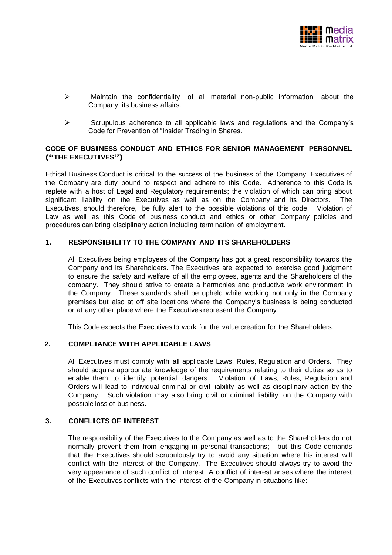

- $\triangleright$  Maintain the confidentiality of all material non-public information about the Company, its business affairs.
- $\triangleright$  Scrupulous adherence to all applicable laws and regulations and the Company's Code for Prevention of "Insider Trading in Shares."

#### **CODE OF BUSINESS CONDUCT AND ETHICS FOR SENIOR MANAGEMENT PERSONNEL ("THE EXECUTIVES")**

Ethical Business Conduct is critical to the success of the business of the Company. Executives of the Company are duty bound to respect and adhere to this Code. Adherence to this Code is replete with a host of Legal and Regulatory requirements; the violation of which can bring about significant liability on the Executives as well as on the Company and its Directors. The Executives, should therefore, be fully alert to the possible violations of this code. Violation of Law as well as this Code of business conduct and ethics or other Company policies and procedures can bring disciplinary action including termination of employment.

#### **1. RESPONSIBILITY TO THE COMPANY AND ITS SHAREHOLDERS**

All Executives being employees of the Company has got a great responsibility towards the Company and its Shareholders. The Executives are expected to exercise good judgment to ensure the safety and welfare of all the employees, agents and the Shareholders of the company. They should strive to create a harmonies and productive work environment in the Company. These standards shall be upheld while working not only in the Company premises but also at off site locations where the Company's business is being conducted or at any other place where the Executives represent the Company.

This Code expects the Executives to work for the value creation for the Shareholders.

#### **2. COMPLIANCE WITH APPLICABLE LAWS**

All Executives must comply with all applicable Laws, Rules, Regulation and Orders. They should acquire appropriate knowledge of the requirements relating to their duties so as to enable them to identify potential dangers. Violation of Laws, Rules, Regulation and Orders will lead to individual criminal or civil liability as well as disciplinary action by the Company. Such violation may also bring civil or criminal liability on the Company with possible loss of business.

#### **3. CONFLICTS OF INTEREST**

The responsibility of the Executives to the Company as well as to the Shareholders do not normally prevent them from engaging in personal transactions; but this Code demands that the Executives should scrupulously try to avoid any situation where his interest will conflict with the interest of the Company. The Executives should always try to avoid the very appearance of such conflict of interest. A conflict of interest arises where the interest of the Executives conflicts with the interest of the Company in situations like:-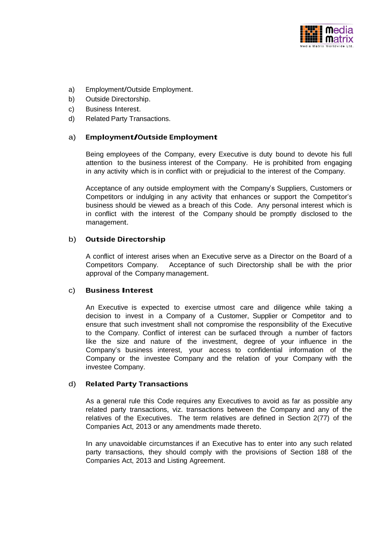

- a) Employment/Outside Employment.
- b) Outside Directorship.
- c) Business Interest.
- d) Related Party Transactions.

#### a) **Employment/Outside Employment**

Being employees of the Company, every Executive is duty bound to devote his full attention to the business interest of the Company. He is prohibited from engaging in any activity which is in conflict with or prejudicial to the interest of the Company.

Acceptance of any outside employment with the Company's Suppliers, Customers or Competitors or indulging in any activity that enhances or support the Competitor's business should be viewed as a breach of this Code. Any personal interest which is in conflict with the interest of the Company should be promptly disclosed to the management.

#### b) **Outside Directorship**

A conflict of interest arises when an Executive serve as a Director on the Board of a Competitors Company. Acceptance of such Directorship shall be with the prior approval of the Company management.

#### c) **Business Interest**

An Executive is expected to exercise utmost care and diligence while taking a decision to invest in a Company of a Customer, Supplier or Competitor and to ensure that such investment shall not compromise the responsibility of the Executive to the Company. Conflict of interest can be surfaced through a number of factors like the size and nature of the investment, degree of your influence in the Company's business interest, your access to confidential information of the Company or the investee Company and the relation of your Company with the investee Company.

#### d) **Related Party Transactions**

As a general rule this Code requires any Executives to avoid as far as possible any related party transactions, viz. transactions between the Company and any of the relatives of the Executives. The term relatives are defined in Section 2(77) of the Companies Act, 2013 or any amendments made thereto.

In any unavoidable circumstances if an Executive has to enter into any such related party transactions, they should comply with the provisions of Section 188 of the Companies Act, 2013 and Listing Agreement.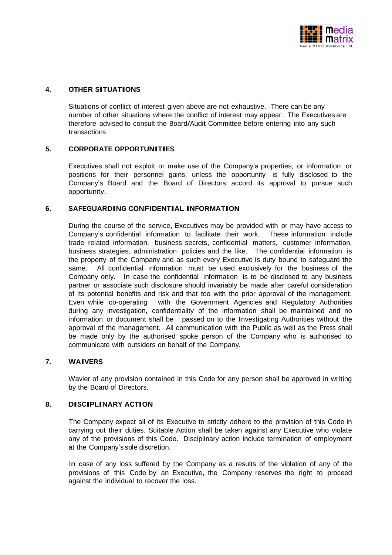

#### **4. OTHER SITUATIONS**

Situations of conflict of interest given above are not exhaustive. There can be any number of other situations where the conflict of interest may appear. The Executives are therefore advised to consult the Board/Audit Committee before entering into any such transactions.

#### **5. CORPORATE OPPORTUNITIES**

Executives shall not exploit or make use of the Company's properties, or information or positions for their personnel gains, unless the opportunity is fully disclosed to the Company's Board and the Board of Directors accord its approval to pursue such opportunity.

#### **6. SAFEGUARDING CONFIDENTIAL INFORMATION**

During the course of the service, Executives may be provided with or may have access to Company's confidential information to facilitate their work. These information include trade related information, business secrets, confidential matters, customer information, business strategies, administration policies and the like. The confidential information is the property of the Company and as such every Executive is duty bound to safeguard the same. All confidential information must be used exclusively for the business of the Company only. In case the confidential information is to be disclosed to any business partner or associate such disclosure should invariably be made after careful consideration of its potential benefits and risk and that too with the prior approval of the management. Even while co-operating with the Government Agencies and Regulatory Authorities during any investigation, confidentiality of the information shall be maintained and no information or document shall be passed on to the Investigating Authorities without the approval of the management. All communication with the Public as well as the Press shall be made only by the authorised spoke person of the Company who is authorised to communicate with outsiders on behalf of the Company.

#### **7. WAIVERS**

Wavier of any provision contained in this Code for any person shall be approved in writing by the Board of Directors.

#### **8. DISCIPLINARY ACTION**

The Company expect all of its Executive to strictly adhere to the provision of this Code in carrying out their duties. Suitable Action shall be taken against any Executive who violate any of the provisions of this Code. Disciplinary action include termination of employment at the Company's sole discretion.

In case of any loss suffered by the Company as a results of the violation of any of the provisions of this Code by an Executive, the Company reserves the right to proceed against the individual to recover the loss.